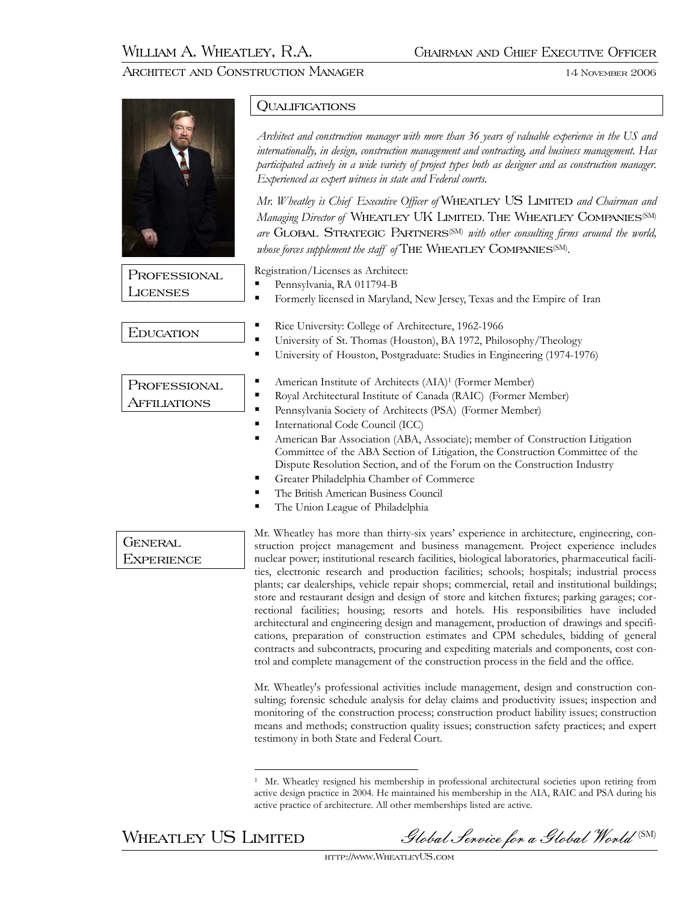# ARCHITECT AND CONSTRUCTION MANAGER 14 November 2006

|                              | QUALIFICATIONS                                                                                                                                                                                                                                                                                                                                                                                                                                                                                                                                                                                                                |
|------------------------------|-------------------------------------------------------------------------------------------------------------------------------------------------------------------------------------------------------------------------------------------------------------------------------------------------------------------------------------------------------------------------------------------------------------------------------------------------------------------------------------------------------------------------------------------------------------------------------------------------------------------------------|
|                              | Architect and construction manager with more than 36 years of valuable experience in the US and<br>internationally, in design, construction management and contracting, and business management. Has<br>participated actively in a wide variety of project types both as designer and as construction manager.<br>Experienced as expert witness in state and Federal courts.                                                                                                                                                                                                                                                  |
|                              | Mr. Wheatley is Chief Executive Officer of WHEATLEY US LIMITED and Chairman and<br>Managing Director of WHEATLEY UK LIMITED. THE WHEATLEY COMPANIES <sup>(SM)</sup><br>are GLOBAL STRATEGIC PARTNERS <sup>(SM)</sup> with other consulting firms around the world,<br>whose forces supplement the staff of THE WHEATLEY COMPANIES(SM).                                                                                                                                                                                                                                                                                        |
| PROFESSIONAL<br>LICENSES     | Registration/Licenses as Architect:                                                                                                                                                                                                                                                                                                                                                                                                                                                                                                                                                                                           |
|                              | Pennsylvania, RA 011794-B<br>п<br>Formerly licensed in Maryland, New Jersey, Texas and the Empire of Iran<br>٠                                                                                                                                                                                                                                                                                                                                                                                                                                                                                                                |
| <b>EDUCATION</b>             | Rice University: College of Architecture, 1962-1966<br>٠<br>University of St. Thomas (Houston), BA 1972, Philosophy/Theology<br>٠<br>University of Houston, Postgraduate: Studies in Engineering (1974-1976)<br>٠                                                                                                                                                                                                                                                                                                                                                                                                             |
| PROFESSIONAL<br>AFFILIATIONS | American Institute of Architects (AIA) <sup>1</sup> (Former Member)<br>٠<br>Royal Architectural Institute of Canada (RAIC) (Former Member)<br>٠<br>Pennsylvania Society of Architects (PSA) (Former Member)<br>٠<br>International Code Council (ICC)<br>٠<br>American Bar Association (ABA, Associate); member of Construction Litigation<br>п<br>Committee of the ABA Section of Litigation, the Construction Committee of the<br>Dispute Resolution Section, and of the Forum on the Construction Industry<br>Greater Philadelphia Chamber of Commerce<br>п<br>The British American Business Council                        |
| General<br>Experience        | The Union League of Philadelphia<br>п<br>Mr. Wheatley has more than thirty-six years' experience in architecture, engineering, con-<br>struction project management and business management. Project experience includes<br>nuclear power; institutional research facilities, biological laboratories, pharmaceutical facili-<br>ties, electronic research and production facilities; schools; hospitals; industrial process<br>plants; car dealerships, vehicle repair shops; commercial, retail and institutional buildings;<br>store and restaurant design and design of store and kitchen fixtures; parking garages; cor- |

rectional facilities; housing; resorts and hotels. His responsibilities have included architectural and engineering design and management, production of drawings and specifications, preparation of construction estimates and CPM schedules, bidding of general contracts and subcontracts, procuring and expediting materials and components, cost control and complete management of the construction process in the field and the office.

Mr. Wheatley's professional activities include management, design and construction consulting; forensic schedule analysis for delay claims and productivity issues; inspection and monitoring of the construction process; construction product liability issues; construction means and methods; construction quality issues; construction safety practices; and expert testimony in both State and Federal Court.

 $\overline{a}$ 

WHEATLEY US LIMITED Slobal Service for a Global World (SM)

<sup>1</sup> Mr. Wheatley resigned his membership in professional architectural societies upon retiring from active design practice in 2004. He maintained his membership in the AIA, RAIC and PSA during his active practice of architecture. All other memberships listed are active.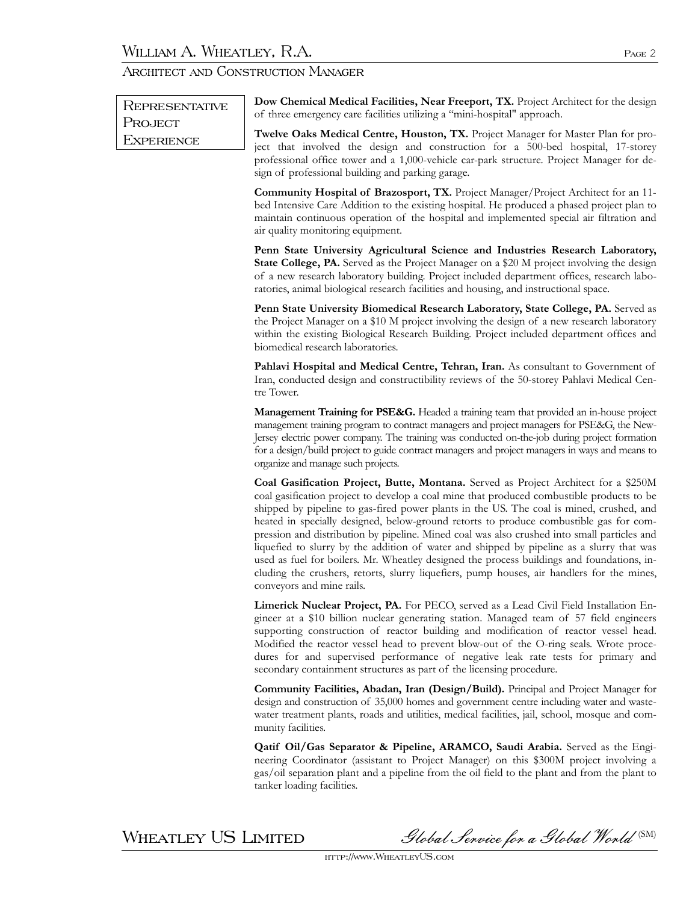| REPRESENTATIVE               | Dow Chemical Medical Facilities, Near Freeport, TX. Project Architect for the design<br>of three emergency care facilities utilizing a "mini-hospital" approach.                                                                                                                                                                                                                                                                                                                                                                                                                                                                                                                                                                                                                            |
|------------------------------|---------------------------------------------------------------------------------------------------------------------------------------------------------------------------------------------------------------------------------------------------------------------------------------------------------------------------------------------------------------------------------------------------------------------------------------------------------------------------------------------------------------------------------------------------------------------------------------------------------------------------------------------------------------------------------------------------------------------------------------------------------------------------------------------|
| PROJECT<br><b>EXPERIENCE</b> | Twelve Oaks Medical Centre, Houston, TX. Project Manager for Master Plan for pro-<br>ject that involved the design and construction for a 500-bed hospital, 17-storey<br>professional office tower and a 1,000-vehicle car-park structure. Project Manager for de-<br>sign of professional building and parking garage.                                                                                                                                                                                                                                                                                                                                                                                                                                                                     |
|                              | Community Hospital of Brazosport, TX. Project Manager/Project Architect for an 11-<br>bed Intensive Care Addition to the existing hospital. He produced a phased project plan to<br>maintain continuous operation of the hospital and implemented special air filtration and<br>air quality monitoring equipment.                                                                                                                                                                                                                                                                                                                                                                                                                                                                           |
|                              | Penn State University Agricultural Science and Industries Research Laboratory,<br>State College, PA. Served as the Project Manager on a \$20 M project involving the design<br>of a new research laboratory building. Project included department offices, research labo-<br>ratories, animal biological research facilities and housing, and instructional space.                                                                                                                                                                                                                                                                                                                                                                                                                          |
|                              | Penn State University Biomedical Research Laboratory, State College, PA. Served as<br>the Project Manager on a \$10 M project involving the design of a new research laboratory<br>within the existing Biological Research Building. Project included department offices and<br>biomedical research laboratories.                                                                                                                                                                                                                                                                                                                                                                                                                                                                           |
|                              | Pahlavi Hospital and Medical Centre, Tehran, Iran. As consultant to Government of<br>Iran, conducted design and constructibility reviews of the 50-storey Pahlavi Medical Cen-<br>tre Tower.                                                                                                                                                                                                                                                                                                                                                                                                                                                                                                                                                                                                |
|                              | Management Training for PSE&G. Headed a training team that provided an in-house project<br>management training program to contract managers and project managers for PSE&G, the New-<br>Jersey electric power company. The training was conducted on-the-job during project formation<br>for a design/build project to guide contract managers and project managers in ways and means to<br>organize and manage such projects.                                                                                                                                                                                                                                                                                                                                                              |
|                              | Coal Gasification Project, Butte, Montana. Served as Project Architect for a \$250M<br>coal gasification project to develop a coal mine that produced combustible products to be<br>shipped by pipeline to gas-fired power plants in the US. The coal is mined, crushed, and<br>heated in specially designed, below-ground retorts to produce combustible gas for com-<br>pression and distribution by pipeline. Mined coal was also crushed into small particles and<br>liquefied to slurry by the addition of water and shipped by pipeline as a slurry that was<br>used as fuel for boilers. Mr. Wheatley designed the process buildings and foundations, in-<br>cluding the crushers, retorts, slurry liquefiers, pump houses, air handlers for the mines,<br>conveyors and mine rails. |
|                              | Limerick Nuclear Project, PA. For PECO, served as a Lead Civil Field Installation En-<br>gineer at a \$10 billion nuclear generating station. Managed team of 57 field engineers<br>supporting construction of reactor building and modification of reactor vessel head.<br>Modified the reactor vessel head to prevent blow-out of the O-ring seals. Wrote proce-<br>dures for and supervised performance of negative leak rate tests for primary and<br>secondary containment structures as part of the licensing procedure.                                                                                                                                                                                                                                                              |
|                              | Community Facilities, Abadan, Iran (Design/Build). Principal and Project Manager for<br>design and construction of 35,000 homes and government centre including water and waste-<br>water treatment plants, roads and utilities, medical facilities, jail, school, mosque and com-<br>munity facilities.                                                                                                                                                                                                                                                                                                                                                                                                                                                                                    |
|                              | Qatif Oil/Gas Separator & Pipeline, ARAMCO, Saudi Arabia. Served as the Engi-<br>neering Coordinator (assistant to Project Manager) on this \$300M project involving a<br>gas/oil separation plant and a pipeline from the oil field to the plant and from the plant to<br>tanker loading facilities.                                                                                                                                                                                                                                                                                                                                                                                                                                                                                       |

WHEATLEY US LIMITED Slobal Service for a Global World (SM)

http://www.WheatleyUS.com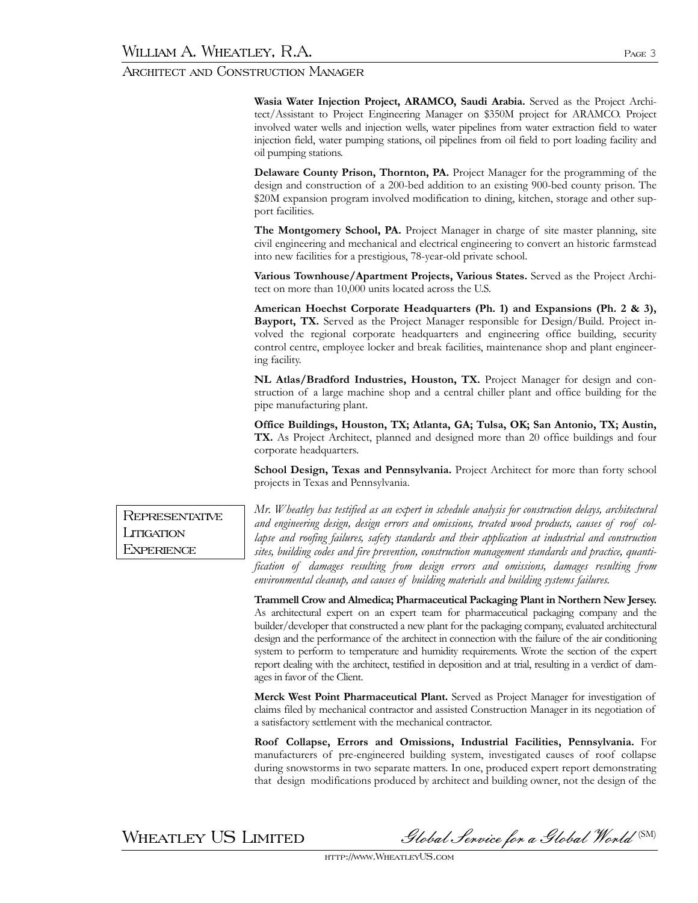**Wasia Water Injection Project, ARAMCO, Saudi Arabia.** Served as the Project Architect/Assistant to Project Engineering Manager on \$350M project for ARAMCO. Project involved water wells and injection wells, water pipelines from water extraction field to water injection field, water pumping stations, oil pipelines from oil field to port loading facility and oil pumping stations.

**Delaware County Prison, Thornton, PA.** Project Manager for the programming of the design and construction of a 200-bed addition to an existing 900-bed county prison. The \$20M expansion program involved modification to dining, kitchen, storage and other support facilities.

**The Montgomery School, PA.** Project Manager in charge of site master planning, site civil engineering and mechanical and electrical engineering to convert an historic farmstead into new facilities for a prestigious, 78-year-old private school.

**Various Townhouse/Apartment Projects, Various States.** Served as the Project Architect on more than 10,000 units located across the U.S.

**American Hoechst Corporate Headquarters (Ph. 1) and Expansions (Ph. 2 & 3), Bayport, TX.** Served as the Project Manager responsible for Design/Build. Project involved the regional corporate headquarters and engineering office building, security control centre, employee locker and break facilities, maintenance shop and plant engineering facility.

**NL Atlas/Bradford Industries, Houston, TX.** Project Manager for design and construction of a large machine shop and a central chiller plant and office building for the pipe manufacturing plant.

**Office Buildings, Houston, TX; Atlanta, GA; Tulsa, OK; San Antonio, TX; Austin, TX.** As Project Architect, planned and designed more than 20 office buildings and four corporate headquarters.

**School Design, Texas and Pennsylvania.** Project Architect for more than forty school projects in Texas and Pennsylvania.

*Mr. Wheatley has testified as an expert in schedule analysis for construction delays, architectural and engineering design, design errors and omissions, treated wood products, causes of roof collapse and roofing failures, safety standards and their application at industrial and construction sites, building codes and fire prevention, construction management standards and practice, quantification of damages resulting from design errors and omissions, damages resulting from environmental cleanup, and causes of building materials and building systems failures.* 

**Trammell Crow and Almedica; Pharmaceutical Packaging Plant in Northern New Jersey.** As architectural expert on an expert team for pharmaceutical packaging company and the builder/developer that constructed a new plant for the packaging company, evaluated architectural design and the performance of the architect in connection with the failure of the air conditioning system to perform to temperature and humidity requirements. Wrote the section of the expert report dealing with the architect, testified in deposition and at trial, resulting in a verdict of damages in favor of the Client.

**Merck West Point Pharmaceutical Plant.** Served as Project Manager for investigation of claims filed by mechanical contractor and assisted Construction Manager in its negotiation of a satisfactory settlement with the mechanical contractor.

**Roof Collapse, Errors and Omissions, Industrial Facilities, Pennsylvania.** For manufacturers of pre-engineered building system, investigated causes of roof collapse during snowstorms in two separate matters. In one, produced expert report demonstrating that design modifications produced by architect and building owner, not the design of the

WHEATLEY US LIMITED Slobal Service for a Global World (SM)

http://www.WheatleyUS.com

**REPRESENTATIVE LITIGATION EXPERIENCE**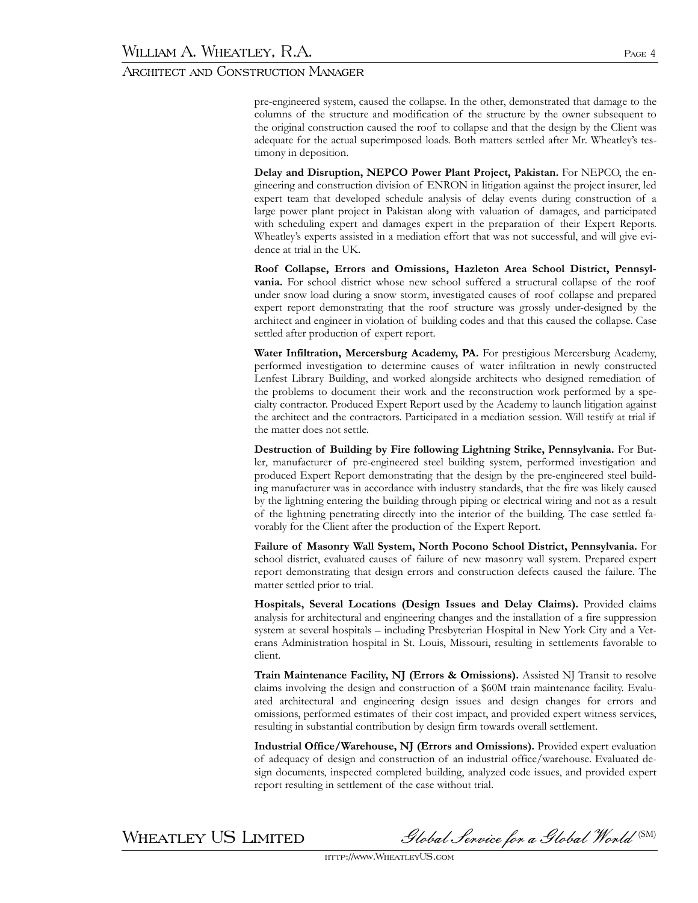pre-engineered system, caused the collapse. In the other, demonstrated that damage to the columns of the structure and modification of the structure by the owner subsequent to the original construction caused the roof to collapse and that the design by the Client was adequate for the actual superimposed loads. Both matters settled after Mr. Wheatley's testimony in deposition.

**Delay and Disruption, NEPCO Power Plant Project, Pakistan.** For NEPCO, the engineering and construction division of ENRON in litigation against the project insurer, led expert team that developed schedule analysis of delay events during construction of a large power plant project in Pakistan along with valuation of damages, and participated with scheduling expert and damages expert in the preparation of their Expert Reports. Wheatley's experts assisted in a mediation effort that was not successful, and will give evidence at trial in the UK.

**Roof Collapse, Errors and Omissions, Hazleton Area School District, Pennsylvania.** For school district whose new school suffered a structural collapse of the roof under snow load during a snow storm, investigated causes of roof collapse and prepared expert report demonstrating that the roof structure was grossly under-designed by the architect and engineer in violation of building codes and that this caused the collapse. Case settled after production of expert report.

**Water Infiltration, Mercersburg Academy, PA.** For prestigious Mercersburg Academy, performed investigation to determine causes of water infiltration in newly constructed Lenfest Library Building, and worked alongside architects who designed remediation of the problems to document their work and the reconstruction work performed by a specialty contractor. Produced Expert Report used by the Academy to launch litigation against the architect and the contractors. Participated in a mediation session. Will testify at trial if the matter does not settle.

**Destruction of Building by Fire following Lightning Strike, Pennsylvania.** For Butler, manufacturer of pre-engineered steel building system, performed investigation and produced Expert Report demonstrating that the design by the pre-engineered steel building manufacturer was in accordance with industry standards, that the fire was likely caused by the lightning entering the building through piping or electrical wiring and not as a result of the lightning penetrating directly into the interior of the building. The case settled favorably for the Client after the production of the Expert Report.

**Failure of Masonry Wall System, North Pocono School District, Pennsylvania.** For school district, evaluated causes of failure of new masonry wall system. Prepared expert report demonstrating that design errors and construction defects caused the failure. The matter settled prior to trial.

**Hospitals, Several Locations (Design Issues and Delay Claims).** Provided claims analysis for architectural and engineering changes and the installation of a fire suppression system at several hospitals – including Presbyterian Hospital in New York City and a Veterans Administration hospital in St. Louis, Missouri, resulting in settlements favorable to client.

**Train Maintenance Facility, NJ (Errors & Omissions).** Assisted NJ Transit to resolve claims involving the design and construction of a \$60M train maintenance facility. Evaluated architectural and engineering design issues and design changes for errors and omissions, performed estimates of their cost impact, and provided expert witness services, resulting in substantial contribution by design firm towards overall settlement.

**Industrial Office/Warehouse, NJ (Errors and Omissions).** Provided expert evaluation of adequacy of design and construction of an industrial office/warehouse. Evaluated design documents, inspected completed building, analyzed code issues, and provided expert report resulting in settlement of the case without trial.

 $\,$ WHEATLEY US LIMITED Slobal Service for a Global World  $^{\text{\tiny{(SM)}}}$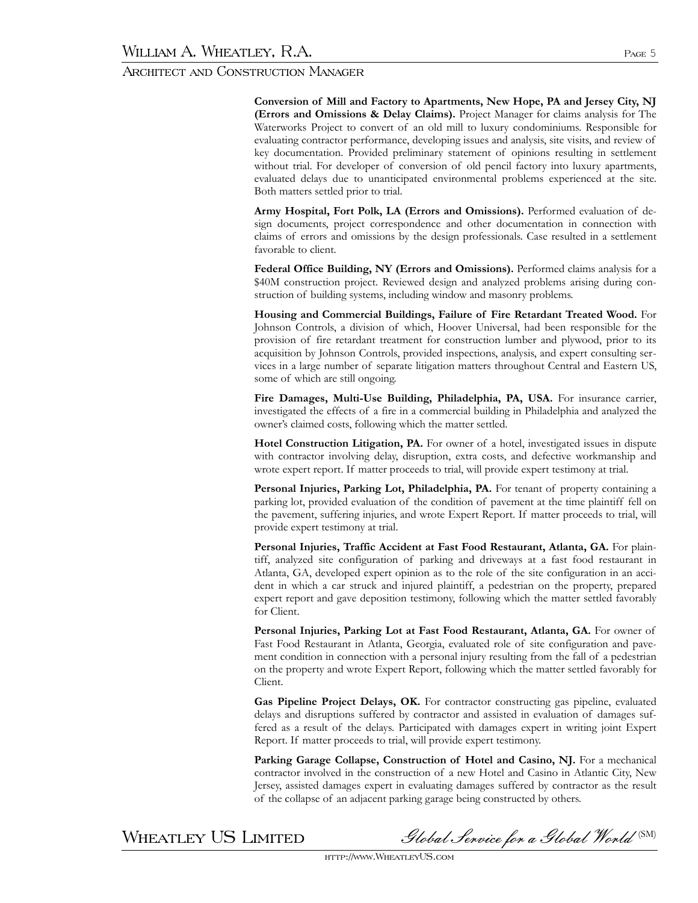**Conversion of Mill and Factory to Apartments, New Hope, PA and Jersey City, NJ (Errors and Omissions & Delay Claims).** Project Manager for claims analysis for The Waterworks Project to convert of an old mill to luxury condominiums. Responsible for evaluating contractor performance, developing issues and analysis, site visits, and review of key documentation. Provided preliminary statement of opinions resulting in settlement without trial. For developer of conversion of old pencil factory into luxury apartments, evaluated delays due to unanticipated environmental problems experienced at the site. Both matters settled prior to trial.

**Army Hospital, Fort Polk, LA (Errors and Omissions).** Performed evaluation of design documents, project correspondence and other documentation in connection with claims of errors and omissions by the design professionals. Case resulted in a settlement favorable to client.

**Federal Office Building, NY (Errors and Omissions).** Performed claims analysis for a \$40M construction project. Reviewed design and analyzed problems arising during construction of building systems, including window and masonry problems.

**Housing and Commercial Buildings, Failure of Fire Retardant Treated Wood.** For Johnson Controls, a division of which, Hoover Universal, had been responsible for the provision of fire retardant treatment for construction lumber and plywood, prior to its acquisition by Johnson Controls, provided inspections, analysis, and expert consulting services in a large number of separate litigation matters throughout Central and Eastern US, some of which are still ongoing.

**Fire Damages, Multi-Use Building, Philadelphia, PA, USA.** For insurance carrier, investigated the effects of a fire in a commercial building in Philadelphia and analyzed the owner's claimed costs, following which the matter settled.

Hotel Construction Litigation, PA. For owner of a hotel, investigated issues in dispute with contractor involving delay, disruption, extra costs, and defective workmanship and wrote expert report. If matter proceeds to trial, will provide expert testimony at trial.

**Personal Injuries, Parking Lot, Philadelphia, PA.** For tenant of property containing a parking lot, provided evaluation of the condition of pavement at the time plaintiff fell on the pavement, suffering injuries, and wrote Expert Report. If matter proceeds to trial, will provide expert testimony at trial.

**Personal Injuries, Traffic Accident at Fast Food Restaurant, Atlanta, GA.** For plaintiff, analyzed site configuration of parking and driveways at a fast food restaurant in Atlanta, GA, developed expert opinion as to the role of the site configuration in an accident in which a car struck and injured plaintiff, a pedestrian on the property, prepared expert report and gave deposition testimony, following which the matter settled favorably for Client.

**Personal Injuries, Parking Lot at Fast Food Restaurant, Atlanta, GA.** For owner of Fast Food Restaurant in Atlanta, Georgia, evaluated role of site configuration and pavement condition in connection with a personal injury resulting from the fall of a pedestrian on the property and wrote Expert Report, following which the matter settled favorably for Client.

**Gas Pipeline Project Delays, OK.** For contractor constructing gas pipeline, evaluated delays and disruptions suffered by contractor and assisted in evaluation of damages suffered as a result of the delays. Participated with damages expert in writing joint Expert Report. If matter proceeds to trial, will provide expert testimony.

**Parking Garage Collapse, Construction of Hotel and Casino, NJ.** For a mechanical contractor involved in the construction of a new Hotel and Casino in Atlantic City, New Jersey, assisted damages expert in evaluating damages suffered by contractor as the result of the collapse of an adjacent parking garage being constructed by others.

WHEATLEY US LIMITED Slobal Service for a Global World (SM)

http://www.WheatleyUS.com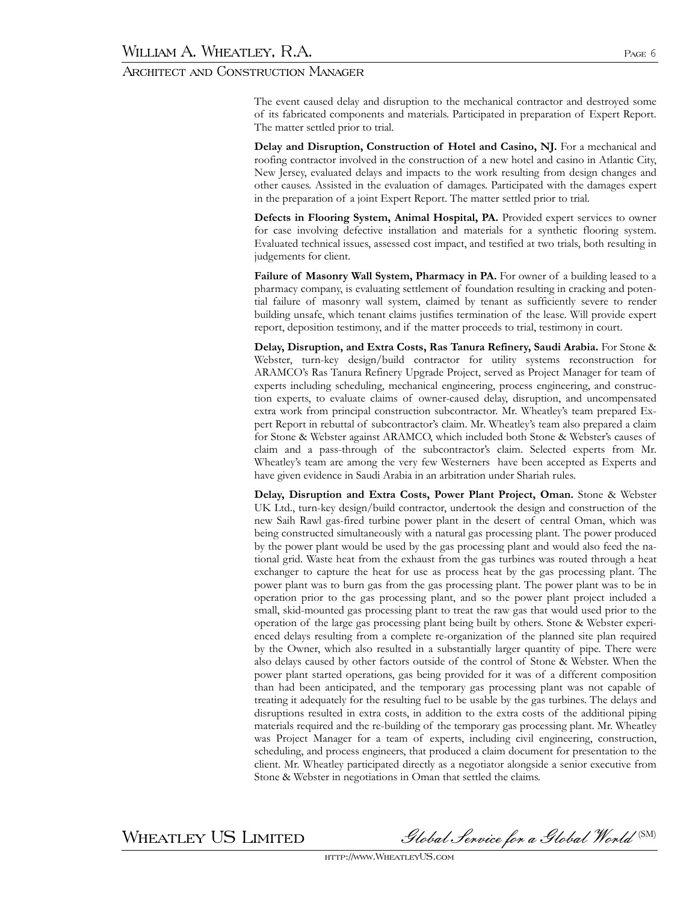The event caused delay and disruption to the mechanical contractor and destroyed some of its fabricated components and materials. Participated in preparation of Expert Report. The matter settled prior to trial.

**Delay and Disruption, Construction of Hotel and Casino, NJ.** For a mechanical and roofing contractor involved in the construction of a new hotel and casino in Atlantic City, New Jersey, evaluated delays and impacts to the work resulting from design changes and other causes. Assisted in the evaluation of damages. Participated with the damages expert in the preparation of a joint Expert Report. The matter settled prior to trial.

**Defects in Flooring System, Animal Hospital, PA.** Provided expert services to owner for case involving defective installation and materials for a synthetic flooring system. Evaluated technical issues, assessed cost impact, and testified at two trials, both resulting in judgements for client.

**Failure of Masonry Wall System, Pharmacy in PA.** For owner of a building leased to a pharmacy company, is evaluating settlement of foundation resulting in cracking and potential failure of masonry wall system, claimed by tenant as sufficiently severe to render building unsafe, which tenant claims justifies termination of the lease. Will provide expert report, deposition testimony, and if the matter proceeds to trial, testimony in court.

**Delay, Disruption, and Extra Costs, Ras Tanura Refinery, Saudi Arabia.** For Stone & Webster, turn-key design/build contractor for utility systems reconstruction for ARAMCO's Ras Tanura Refinery Upgrade Project, served as Project Manager for team of experts including scheduling, mechanical engineering, process engineering, and construction experts, to evaluate claims of owner-caused delay, disruption, and uncompensated extra work from principal construction subcontractor. Mr. Wheatley's team prepared Expert Report in rebuttal of subcontractor's claim. Mr. Wheatley's team also prepared a claim for Stone & Webster against ARAMCO, which included both Stone & Webster's causes of claim and a pass-through of the subcontractor's claim. Selected experts from Mr. Wheatley's team are among the very few Westerners have been accepted as Experts and have given evidence in Saudi Arabia in an arbitration under Shariah rules.

**Delay, Disruption and Extra Costs, Power Plant Project, Oman.** Stone & Webster UK Ltd., turn-key design/build contractor, undertook the design and construction of the new Saih Rawl gas-fired turbine power plant in the desert of central Oman, which was being constructed simultaneously with a natural gas processing plant. The power produced by the power plant would be used by the gas processing plant and would also feed the national grid. Waste heat from the exhaust from the gas turbines was routed through a heat exchanger to capture the heat for use as process heat by the gas processing plant. The power plant was to burn gas from the gas processing plant. The power plant was to be in operation prior to the gas processing plant, and so the power plant project included a small, skid-mounted gas processing plant to treat the raw gas that would used prior to the operation of the large gas processing plant being built by others. Stone & Webster experienced delays resulting from a complete re-organization of the planned site plan required by the Owner, which also resulted in a substantially larger quantity of pipe. There were also delays caused by other factors outside of the control of Stone & Webster. When the power plant started operations, gas being provided for it was of a different composition than had been anticipated, and the temporary gas processing plant was not capable of treating it adequately for the resulting fuel to be usable by the gas turbines. The delays and disruptions resulted in extra costs, in addition to the extra costs of the additional piping materials required and the re-building of the temporary gas processing plant. Mr. Wheatley was Project Manager for a team of experts, including civil engineering, construction, scheduling, and process engineers, that produced a claim document for presentation to the client. Mr. Wheatley participated directly as a negotiator alongside a senior executive from Stone & Webster in negotiations in Oman that settled the claims.

 $\,$ WHEATLEY US LIMITED Slobal Service for a Global World  $^{\text{\tiny{(SM)}}}$